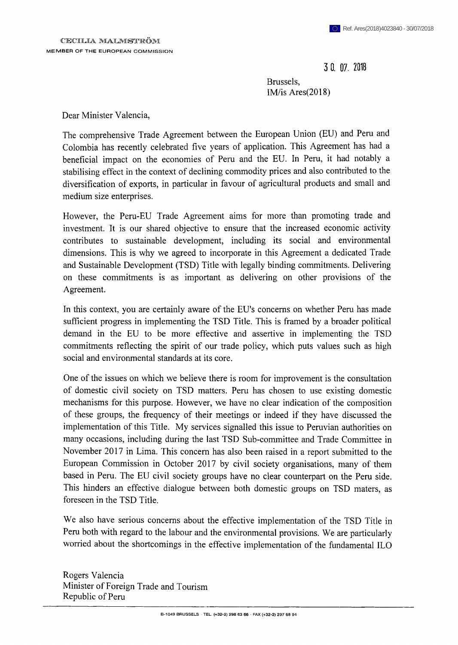**3 0. 0/. <sup>2018</sup>**

Brussels, IM/is Ares(2018)

Dear Minister Valencia,

The comprehensive Trade Agreement between the European Union (EU) and Peru and Colombia has recently celebrated five years of application. This Agreement has had a beneficial impact on the economies of Peru and the EU. In Peru, it had notably a stabilising effect in the context of declining commodity prices and also contributed to the diversification of exports, in particular in favour of agricultural products and small and medium size enterprises.

However, the Peru-EU Trade Agreement aims for more than promoting trade and investment. It is our shared objective to ensure that the increased economic activity contributes to sustainable development, including its social and environmental dimensions. This is why we agreed to incorporate in this Agreement a dedicated Trade and Sustainable Development (TSD) Title with legally binding commitments. Delivering on these commitments is as important as delivering on other provisions of the Agreement.

In this context, you are certainly aware of the EU's concerns on whether Peru has made sufficient progress in implementing the TSD Title. This is framed by a broader political demand in the EU to be more effective and assertive in implementing the TSD commitments reflecting the spirit of our trade policy, which puts values such as high social and environmental standards at its core.

One of the issues on which we believe there is room for improvement is the consultation of domestic civil society on TSD matters. Peru has chosen to use existing domestic mechanisms for this purpose. However, we have no clear indication of the composition of these groups, the frequency of their meetings or indeed if they have discussed the implementation of this Title. My services signalled this issue to Peruvian authorities on many occasions, including during the last TSD Sub-committee and Trade Committee in November 2017 in Lima. This concern has also been raised in a report submitted to the European Commission in October 2017 by civil society organisations, many of them based in Peru. The EU civil society groups have no clear counterpart on the Peru side. This hinders an effective dialogue between both domestic groups on TSD maters, as foreseen in the TSD Title.

We also have serious concerns about the effective implementation of the TSD Title in Peru both with regard to the labour and the environmental provisions. We are particularly worried about the shortcomings in the effective implementation of the fundamental ILO

Rogers Valencia Minister of Foreign Trade and Tourism Republic of Peru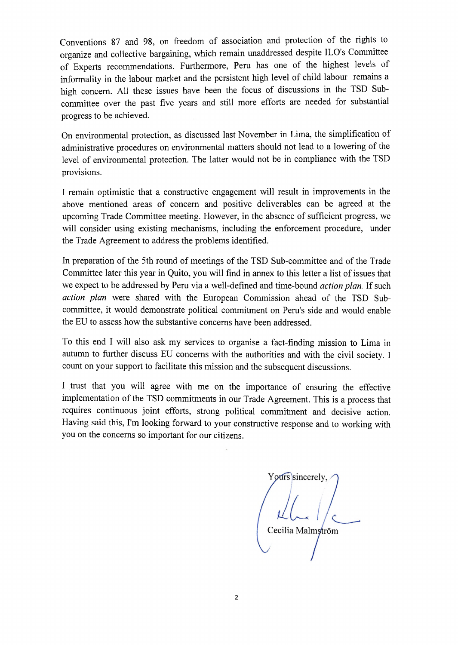Conventions 87 and 98, on freedom of association and protection of the rights to organize and collective bargaining, which remain unaddressed despite ILO's Committee of Experts recommendations. Furthermore, Peru has one of the highest levels of informality in the labour market and the persistent high level of child labour remains a high concern. All these issues have been the focus of discussions in the TSD Subcommittee over the past five years and still more efforts are needed tor substantial progress to be achieved.

On environmental protection, as discussed last November in Lima, the simplification of administrative procedures on environmental matters should not lead to a lowering of the level of environmental protection. The latter would not be in compliance with the TSD provisions.

I remain optimistic that a constructive engagement will result in improvements in the above mentioned areas of concern and positive deliverables can be agreed at the upcoming Trade Committee meeting. However, in the absence of sufficient progress, we will consider using existing mechanisms, including the enforcement procedure, under the Trade Agreement to address the problems identified.

In preparation of the 5th round of meetings of the TSD Sub-committee and of the Trade Committee later this year in Quito, you will find in annex to this letter a list of issues that we expect to be addressed by Peru via a well-defined and time-bound *action plan*. If such *action plan* were shared with the European Commission ahead of the TSD Subcommittee, it would demonstrate political commitment on Peru's side and would enable the EU to assess how the substantive concerns have been addressed.

To this end I will also ask my services to organise a fact-finding mission to Lima in autumn to further discuss EU concerns with the authorities and with the civil society. I count on your support to facilitate this mission and the subsequent discussions.

I trust that you will agree with me on the importance of ensuring the effective implementation of the TSD commitments in our Trade Agreement. This is a process that requires continuous joint efforts, strong political commitment and decisive action. Having said this, I'm looking forward to your constructive response and to working with you on the concerns so important for our citizens.

Yours sincerely. Cecilia Malmström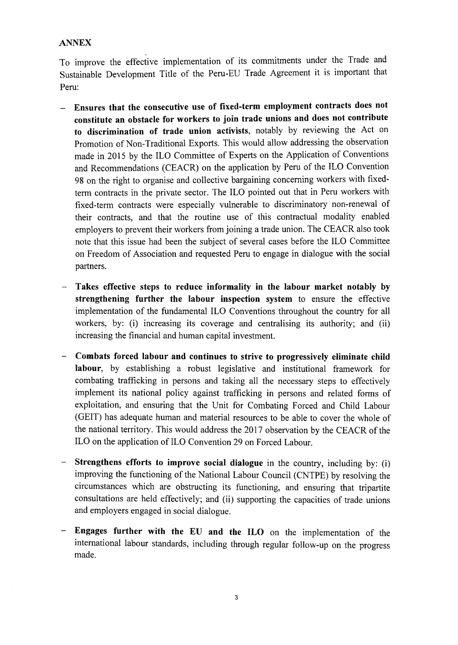## **ANNEX**

To improve the effective implementation of its commitments under the Trade and Sustainable Development Title of the Peru-EU Trade Agreement it is important that Peru:

- **- Ensures that the consecutive use of fixed-term employment contracts does not constitute an obstacle for workers to join trade unions and does not contribute to discrimination of trade union activists,** notably by reviewing the Act on Promotion of Non-Traditional Exports. This would allow addressing the observation made in 2015 by the ILO Committee of Experts on the Application of Conventions and Recommendations (CEACR) on the application by Peru of the ILO Convention 98 on the right to organise and collective bargaining concerning workers with fixedterm contracts in the private sector. The ILO pointed out that in Peru workers with fixed-term contracts were especially vulnerable to discriminatory non-renewal of their contracts, and that the routine use of this contractual modality enabled employers to prevent their workers from joining a trade union. The CEACR also took note that this issue had been the subject of several cases before the ILO Committee on Freedom of Association and requested Peru to engage in dialogue with the social partners.
- **- Takes effective steps to reduce informality in the labour market notably by strengthening further the labour inspection system** to ensure the effective implementation of the fundamental ILO Conventions throughout the country for all workers, by: (i) increasing its coverage and centralising its authority; and (ii) increasing the financial and human capital investment.
- **- Combats forced labour and continues to strive to progressively eliminate child labour,** by establishing a robust legislative and institutional framework for combating trafficking in persons and taking all the necessary steps to effectively implement its national policy against trafficking in persons and related forms of exploitation, and ensuring that the Unit for Combating Forced and Child Labour (GEIT) has adequate human and material resources to be able to cover the whole of the national territory. This would address the 2017 observation by the CEACR of the ILO on the application of ILO Convention 29 on Forced Labour.
- **Strengthens efforts to improve social dialogue** in the country, including by: (i) improving the functioning of the National Labour Council (CNTPE) by resolving the circumstances which are obstructing its functioning, and ensuring that tripartite consultations are held effectively; and (ii) supporting the capacities of trade unions and employers engaged in social dialogue.
- **Engages further with the EU and the ILO** on the implementation of the international labour standards, including through regular follow-up on the progress made.